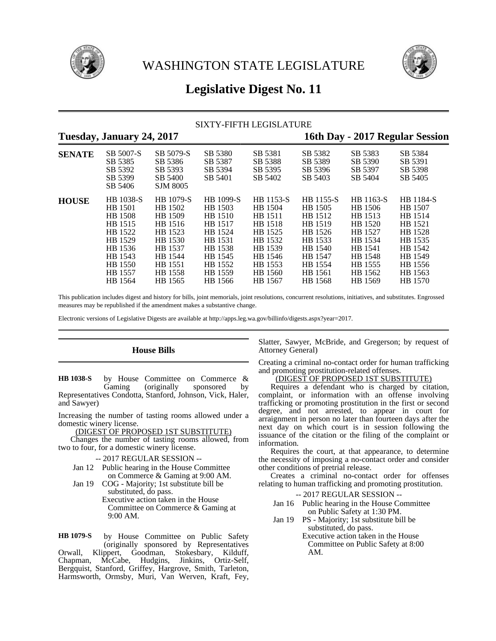



# **Legislative Digest No. 11**

# SIXTY-FIFTH LEGISLATURE

| Tuesday, January 24, 2017 |                                                                                                                     |                                                                                                              |                                                                                                              |                                                                                                              | 16th Day - 2017 Regular Session                                                                              |                                                                                                              |                                                                                                              |
|---------------------------|---------------------------------------------------------------------------------------------------------------------|--------------------------------------------------------------------------------------------------------------|--------------------------------------------------------------------------------------------------------------|--------------------------------------------------------------------------------------------------------------|--------------------------------------------------------------------------------------------------------------|--------------------------------------------------------------------------------------------------------------|--------------------------------------------------------------------------------------------------------------|
| <b>SENATE</b>             | SB 5007-S<br>SB 5385<br>SB 5392<br>SB 5399<br>SB 5406                                                               | SB 5079-S<br>SB 5386<br>SB 5393<br>SB 5400<br><b>SJM 8005</b>                                                | SB 5380<br>SB 5387<br>SB 5394<br>SB 5401                                                                     | SB 5381<br>SB 5388<br>SB 5395<br>SB 5402                                                                     | SB 5382<br>SB 5389<br>SB 5396<br>SB 5403                                                                     | SB 5383<br>SB 5390<br>SB 5397<br>SB 5404                                                                     | SB 5384<br>SB 5391<br>SB 5398<br>SB 5405                                                                     |
| <b>HOUSE</b>              | <b>HB</b> 1038-S<br>HB 1501<br>HB 1508<br>HB 1515<br>HB 1522<br>HB 1529<br>HB 1536<br>HB 1543<br>HB 1550<br>HB 1557 | HB 1079-S<br>HB 1502<br>HB 1509<br>HB 1516<br>HB 1523<br>HB 1530<br>HB 1537<br>HB 1544<br>HB 1551<br>HB 1558 | HB 1099-S<br>HB 1503<br>HB 1510<br>HB 1517<br>HB 1524<br>HB 1531<br>HB 1538<br>HB 1545<br>HB 1552<br>HB 1559 | HB 1153-S<br>HB 1504<br>HB 1511<br>HB 1518<br>HB 1525<br>HB 1532<br>HB 1539<br>HB 1546<br>HB 1553<br>HB 1560 | HB 1155-S<br>HB 1505<br>HB 1512<br>HB 1519<br>HB 1526<br>HB 1533<br>HB 1540<br>HB 1547<br>HB 1554<br>HB 1561 | HB 1163-S<br>HB 1506<br>HB 1513<br>HB 1520<br>HB 1527<br>HB 1534<br>HB 1541<br>HB 1548<br>HB 1555<br>HB 1562 | HB 1184-S<br>HB 1507<br>HB 1514<br>HB 1521<br>HB 1528<br>HB 1535<br>HB 1542<br>HB 1549<br>HB 1556<br>HB 1563 |
|                           | HB 1564                                                                                                             | HB 1565                                                                                                      | HB 1566                                                                                                      | HB 1567                                                                                                      | HB 1568                                                                                                      | HB 1569                                                                                                      | HB 1570                                                                                                      |

This publication includes digest and history for bills, joint memorials, joint resolutions, concurrent resolutions, initiatives, and substitutes. Engrossed measures may be republished if the amendment makes a substantive change.

Electronic versions of Legislative Digests are available at http://apps.leg.wa.gov/billinfo/digests.aspx?year=2017.

## **House Bills**

by House Committee on Commerce &<br>Gaming (originally sponsored by (originally sponsored by Representatives Condotta, Stanford, Johnson, Vick, Haler, and Sawyer) **HB 1038-S**

Increasing the number of tasting rooms allowed under a domestic winery license.

(DIGEST OF PROPOSED 1ST SUBSTITUTE)

Changes the number of tasting rooms allowed, from two to four, for a domestic winery license.

- -- 2017 REGULAR SESSION --
- Jan 12 Public hearing in the House Committee on Commerce & Gaming at 9:00 AM.
- Jan 19 COG Majority; 1st substitute bill be substituted, do pass. Executive action taken in the House Committee on Commerce & Gaming at 9:00 AM.

by House Committee on Public Safety (originally sponsored by Representatives Orwall, Klippert, Goodman, Stokesbary, Kilduff, Chapman, McCabe, Hudgins, Jinkins, Ortiz-Self, Bergquist, Stanford, Griffey, Hargrove, Smith, Tarleton, Harmsworth, Ormsby, Muri, Van Werven, Kraft, Fey, **HB 1079-S**

Slatter, Sawyer, McBride, and Gregerson; by request of Attorney General)

Creating a criminal no-contact order for human trafficking and promoting prostitution-related offenses.

# (DIGEST OF PROPOSED 1ST SUBSTITUTE)

Requires a defendant who is charged by citation, complaint, or information with an offense involving trafficking or promoting prostitution in the first or second degree, and not arrested, to appear in court for arraignment in person no later than fourteen days after the next day on which court is in session following the issuance of the citation or the filing of the complaint or information.

Requires the court, at that appearance, to determine the necessity of imposing a no-contact order and consider other conditions of pretrial release.

Creates a criminal no-contact order for offenses relating to human trafficking and promoting prostitution.

- -- 2017 REGULAR SESSION --
- Jan 16 Public hearing in the House Committee on Public Safety at 1:30 PM.
- Jan 19 PS Majority; 1st substitute bill be substituted, do pass.
	- Executive action taken in the House Committee on Public Safety at 8:00 AM.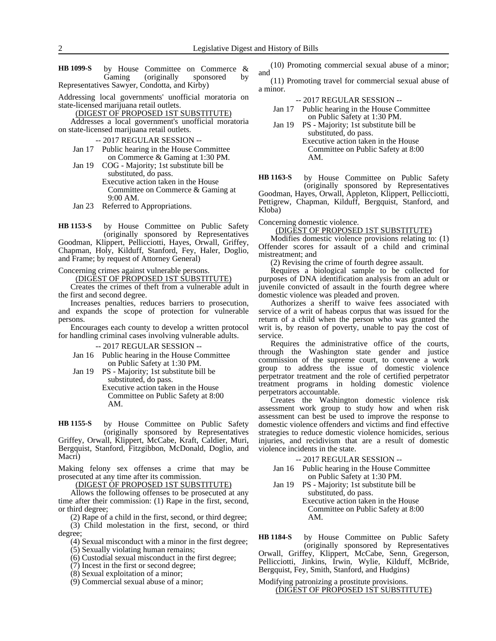by House Committee on Commerce & Gaming (originally sponsored by Representatives Sawyer, Condotta, and Kirby) **HB 1099-S**

Addressing local governments' unofficial moratoria on state-licensed marijuana retail outlets.

(DIGEST OF PROPOSED 1ST SUBSTITUTE)

Addresses a local government's unofficial moratoria on state-licensed marijuana retail outlets.

- -- 2017 REGULAR SESSION --
- Jan 17 Public hearing in the House Committee on Commerce & Gaming at 1:30 PM.
- Jan 19 COG Majority; 1st substitute bill be substituted, do pass. Executive action taken in the House Committee on Commerce & Gaming at 9:00 AM.

Jan 23 Referred to Appropriations.

by House Committee on Public Safety (originally sponsored by Representatives Goodman, Klippert, Pellicciotti, Hayes, Orwall, Griffey, Chapman, Holy, Kilduff, Stanford, Fey, Haler, Doglio, and Frame; by request of Attorney General) **HB 1153-S**

Concerning crimes against vulnerable persons.

(DIGEST OF PROPOSED 1ST SUBSTITUTE)

Creates the crimes of theft from a vulnerable adult in the first and second degree.

Increases penalties, reduces barriers to prosecution, and expands the scope of protection for vulnerable persons.

Encourages each county to develop a written protocol for handling criminal cases involving vulnerable adults.

-- 2017 REGULAR SESSION --

- Jan 16 Public hearing in the House Committee on Public Safety at 1:30 PM.
- Jan 19 PS Majority; 1st substitute bill be substituted, do pass. Executive action taken in the House Committee on Public Safety at 8:00 AM.

by House Committee on Public Safety (originally sponsored by Representatives **HB 1155-S**

Griffey, Orwall, Klippert, McCabe, Kraft, Caldier, Muri, Bergquist, Stanford, Fitzgibbon, McDonald, Doglio, and Macri)

Making felony sex offenses a crime that may be prosecuted at any time after its commission.

(DIGEST OF PROPOSED 1ST SUBSTITUTE)

Allows the following offenses to be prosecuted at any time after their commission: (1) Rape in the first, second, or third degree;

(2) Rape of a child in the first, second, or third degree;

(3) Child molestation in the first, second, or third degree;

(4) Sexual misconduct with a minor in the first degree;

(5) Sexually violating human remains;

(6) Custodial sexual misconduct in the first degree;

(7) Incest in the first or second degree;

(8) Sexual exploitation of a minor;

(9) Commercial sexual abuse of a minor;

(10) Promoting commercial sexual abuse of a minor; and

(11) Promoting travel for commercial sexual abuse of a minor.

- -- 2017 REGULAR SESSION --
- Jan 17 Public hearing in the House Committee on Public Safety at 1:30 PM.
- Jan 19 PS Majority; 1st substitute bill be substituted, do pass. Executive action taken in the House Committee on Public Safety at 8:00

by House Committee on Public Safety (originally sponsored by Representatives **HB 1163-S**

Goodman, Hayes, Orwall, Appleton, Klippert, Pellicciotti, Pettigrew, Chapman, Kilduff, Bergquist, Stanford, and Kloba)

Concerning domestic violence.

AM.

(DIGEST OF PROPOSED 1ST SUBSTITUTE)

Modifies domestic violence provisions relating to: (1) Offender scores for assault of a child and criminal mistreatment; and

(2) Revising the crime of fourth degree assault.

Requires a biological sample to be collected for purposes of DNA identification analysis from an adult or juvenile convicted of assault in the fourth degree where domestic violence was pleaded and proven.

Authorizes a sheriff to waive fees associated with service of a writ of habeas corpus that was issued for the return of a child when the person who was granted the writ is, by reason of poverty, unable to pay the cost of service.

Requires the administrative office of the courts, through the Washington state gender and justice commission of the supreme court, to convene a work group to address the issue of domestic violence perpetrator treatment and the role of certified perpetrator treatment programs in holding domestic violence perpetrators accountable.

Creates the Washington domestic violence risk assessment work group to study how and when risk assessment can best be used to improve the response to domestic violence offenders and victims and find effective strategies to reduce domestic violence homicides, serious injuries, and recidivism that are a result of domestic violence incidents in the state.

-- 2017 REGULAR SESSION --

- Jan 16 Public hearing in the House Committee on Public Safety at 1:30 PM.
- Jan 19 PS Majority; 1st substitute bill be substituted, do pass. Executive action taken in the House Committee on Public Safety at 8:00 AM.

by House Committee on Public Safety (originally sponsored by Representatives Orwall, Griffey, Klippert, McCabe, Senn, Gregerson, Pellicciotti, Jinkins, Irwin, Wylie, Kilduff, McBride, Bergquist, Fey, Smith, Stanford, and Hudgins) **HB 1184-S**

Modifying patronizing a prostitute provisions. (DIGEST OF PROPOSED 1ST SUBSTITUTE)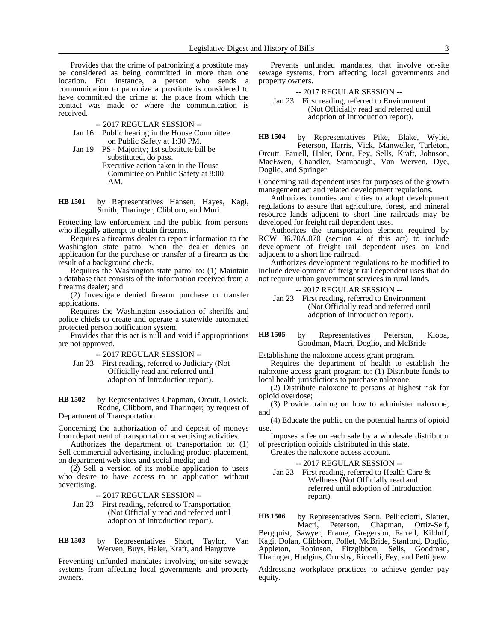Provides that the crime of patronizing a prostitute may be considered as being committed in more than one location. For instance, a person who sends a communication to patronize a prostitute is considered to have committed the crime at the place from which the contact was made or where the communication is received.

-- 2017 REGULAR SESSION --

- Jan 16 Public hearing in the House Committee on Public Safety at 1:30 PM.
- Jan 19 PS Majority; 1st substitute bill be substituted, do pass. Executive action taken in the House Committee on Public Safety at 8:00 AM.
- by Representatives Hansen, Hayes, Kagi, Smith, Tharinger, Clibborn, and Muri **HB 1501**

Protecting law enforcement and the public from persons who illegally attempt to obtain firearms.

Requires a firearms dealer to report information to the Washington state patrol when the dealer denies an application for the purchase or transfer of a firearm as the result of a background check.

Requires the Washington state patrol to: (1) Maintain a database that consists of the information received from a firearms dealer; and

(2) Investigate denied firearm purchase or transfer applications.

Requires the Washington association of sheriffs and police chiefs to create and operate a statewide automated protected person notification system.

Provides that this act is null and void if appropriations are not approved.

-- 2017 REGULAR SESSION --

Jan 23 First reading, referred to Judiciary (Not Officially read and referred until adoption of Introduction report).

by Representatives Chapman, Orcutt, Lovick, Rodne, Clibborn, and Tharinger; by request of Department of Transportation **HB 1502**

Concerning the authorization of and deposit of moneys from department of transportation advertising activities.

Authorizes the department of transportation to: (1) Sell commercial advertising, including product placement, on department web sites and social media; and

(2) Sell a version of its mobile application to users who desire to have access to an application without advertising.

-- 2017 REGULAR SESSION --

Jan 23 First reading, referred to Transportation (Not Officially read and referred until adoption of Introduction report).

by Representatives Short, Taylor, Van Werven, Buys, Haler, Kraft, and Hargrove **HB 1503**

Preventing unfunded mandates involving on-site sewage systems from affecting local governments and property owners.

Prevents unfunded mandates, that involve on-site sewage systems, from affecting local governments and property owners.

-- 2017 REGULAR SESSION --

Jan 23 First reading, referred to Environment (Not Officially read and referred until adoption of Introduction report).

by Representatives Pike, Blake, Wylie, Peterson, Harris, Vick, Manweller, Tarleton, Orcutt, Farrell, Haler, Dent, Fey, Sells, Kraft, Johnson, MacEwen, Chandler, Stambaugh, Van Werven, Dye, Doglio, and Springer **HB 1504**

Concerning rail dependent uses for purposes of the growth management act and related development regulations.

Authorizes counties and cities to adopt development regulations to assure that agriculture, forest, and mineral resource lands adjacent to short line railroads may be developed for freight rail dependent uses.

Authorizes the transportation element required by RCW 36.70A.070 (section 4 of this act) to include development of freight rail dependent uses on land adjacent to a short line railroad.

Authorizes development regulations to be modified to include development of freight rail dependent uses that do not require urban government services in rural lands.

-- 2017 REGULAR SESSION --

Jan 23 First reading, referred to Environment (Not Officially read and referred until adoption of Introduction report).

#### by Representatives Peterson, Kloba, Goodman, Macri, Doglio, and McBride **HB 1505**

Establishing the naloxone access grant program.

Requires the department of health to establish the naloxone access grant program to: (1) Distribute funds to local health jurisdictions to purchase naloxone;

(2) Distribute naloxone to persons at highest risk for opioid overdose;

(3) Provide training on how to administer naloxone; and

(4) Educate the public on the potential harms of opioid use.

Imposes a fee on each sale by a wholesale distributor of prescription opioids distributed in this state.

Creates the naloxone access account.

-- 2017 REGULAR SESSION --

Jan 23 First reading, referred to Health Care & Wellness (Not Officially read and referred until adoption of Introduction report).

by Representatives Senn, Pellicciotti, Slatter, Macri, Peterson, Chapman, Ortiz-Self, Bergquist, Sawyer, Frame, Gregerson, Farrell, Kilduff, Kagi, Dolan, Clibborn, Pollet, McBride, Stanford, Doglio, Appleton, Robinson, Fitzgibbon, Sells, Goodman, Tharinger, Hudgins, Ormsby, Riccelli, Fey, and Pettigrew **HB 1506**

Addressing workplace practices to achieve gender pay equity.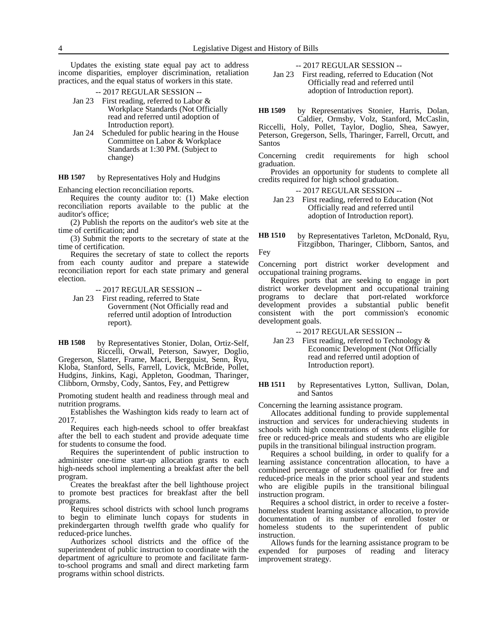Updates the existing state equal pay act to address income disparities, employer discrimination, retaliation practices, and the equal status of workers in this state.

-- 2017 REGULAR SESSION --

- Jan 23 First reading, referred to Labor & Workplace Standards (Not Officially read and referred until adoption of Introduction report).
- Jan 24 Scheduled for public hearing in the House Committee on Labor & Workplace Standards at 1:30 PM. (Subject to change)

by Representatives Holy and Hudgins **HB 1507**

Enhancing election reconciliation reports.

Requires the county auditor to: (1) Make election reconciliation reports available to the public at the auditor's office;

(2) Publish the reports on the auditor's web site at the time of certification; and

(3) Submit the reports to the secretary of state at the time of certification.

Requires the secretary of state to collect the reports from each county auditor and prepare a statewide reconciliation report for each state primary and general election.

-- 2017 REGULAR SESSION --

Jan 23 First reading, referred to State Government (Not Officially read and referred until adoption of Introduction report).

by Representatives Stonier, Dolan, Ortiz-Self, Riccelli, Orwall, Peterson, Sawyer, Doglio, Gregerson, Slatter, Frame, Macri, Bergquist, Senn, Ryu, Kloba, Stanford, Sells, Farrell, Lovick, McBride, Pollet, Hudgins, Jinkins, Kagi, Appleton, Goodman, Tharinger, Clibborn, Ormsby, Cody, Santos, Fey, and Pettigrew **HB 1508**

Promoting student health and readiness through meal and nutrition programs.

Establishes the Washington kids ready to learn act of 2017.

Requires each high-needs school to offer breakfast after the bell to each student and provide adequate time for students to consume the food.

Requires the superintendent of public instruction to administer one-time start-up allocation grants to each high-needs school implementing a breakfast after the bell program.

Creates the breakfast after the bell lighthouse project to promote best practices for breakfast after the bell programs.

Requires school districts with school lunch programs to begin to eliminate lunch copays for students in prekindergarten through twelfth grade who qualify for reduced-price lunches.

Authorizes school districts and the office of the superintendent of public instruction to coordinate with the department of agriculture to promote and facilitate farmto-school programs and small and direct marketing farm programs within school districts.

-- 2017 REGULAR SESSION --

Jan 23 First reading, referred to Education (Not Officially read and referred until adoption of Introduction report).

by Representatives Stonier, Harris, Dolan, Caldier, Ormsby, Volz, Stanford, McCaslin, **HB 1509**

Riccelli, Holy, Pollet, Taylor, Doglio, Shea, Sawyer, Peterson, Gregerson, Sells, Tharinger, Farrell, Orcutt, and Santos

Concerning credit requirements for high school graduation.

Provides an opportunity for students to complete all credits required for high school graduation.

-- 2017 REGULAR SESSION --

Jan 23 First reading, referred to Education (Not Officially read and referred until adoption of Introduction report).

by Representatives Tarleton, McDonald, Ryu, Fitzgibbon, Tharinger, Clibborn, Santos, and Fey **HB 1510**

Concerning port district worker development and occupational training programs.

Requires ports that are seeking to engage in port district worker development and occupational training programs to declare that port-related workforce development provides a substantial public benefit consistent with the port commission's economic development goals.

-- 2017 REGULAR SESSION --

Jan 23 First reading, referred to Technology & Economic Development (Not Officially read and referred until adoption of Introduction report).

#### by Representatives Lytton, Sullivan, Dolan, and Santos **HB 1511**

Concerning the learning assistance program.

Allocates additional funding to provide supplemental instruction and services for underachieving students in schools with high concentrations of students eligible for free or reduced-price meals and students who are eligible pupils in the transitional bilingual instruction program.

Requires a school building, in order to qualify for a learning assistance concentration allocation, to have a combined percentage of students qualified for free and reduced-price meals in the prior school year and students who are eligible pupils in the transitional bilingual instruction program.

Requires a school district, in order to receive a fosterhomeless student learning assistance allocation, to provide documentation of its number of enrolled foster or homeless students to the superintendent of public instruction.

Allows funds for the learning assistance program to be expended for purposes of reading and literacy improvement strategy.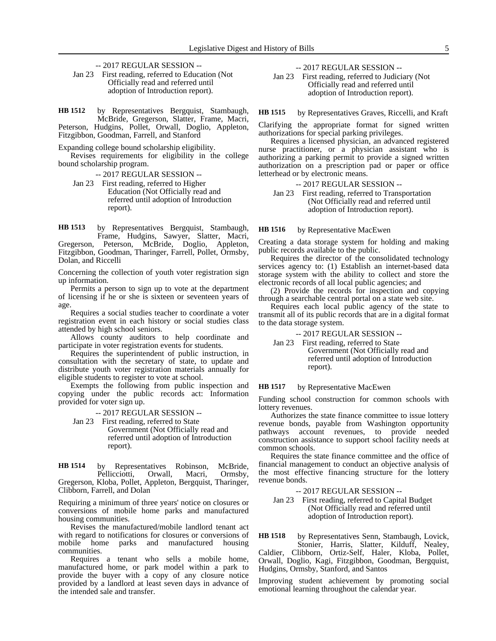- -- 2017 REGULAR SESSION --
- Jan 23 First reading, referred to Education (Not Officially read and referred until adoption of Introduction report).

by Representatives Bergquist, Stambaugh, McBride, Gregerson, Slatter, Frame, Macri, Peterson, Hudgins, Pollet, Orwall, Doglio, Appleton, Fitzgibbon, Goodman, Farrell, and Stanford **HB 1512**

Expanding college bound scholarship eligibility.

Revises requirements for eligibility in the college bound scholarship program.

-- 2017 REGULAR SESSION --

Jan 23 First reading, referred to Higher Education (Not Officially read and referred until adoption of Introduction report).

by Representatives Bergquist, Stambaugh, Frame, Hudgins, Sawyer, Slatter, Macri, Gregerson, Peterson, McBride, Doglio, Appleton, Fitzgibbon, Goodman, Tharinger, Farrell, Pollet, Ormsby, Dolan, and Riccelli **HB 1513**

Concerning the collection of youth voter registration sign up information.

Permits a person to sign up to vote at the department of licensing if he or she is sixteen or seventeen years of age.

Requires a social studies teacher to coordinate a voter registration event in each history or social studies class attended by high school seniors.

Allows county auditors to help coordinate and participate in voter registration events for students.

Requires the superintendent of public instruction, in consultation with the secretary of state, to update and distribute youth voter registration materials annually for eligible students to register to vote at school.

Exempts the following from public inspection and copying under the public records act: Information provided for voter sign up.

-- 2017 REGULAR SESSION --

Jan 23 First reading, referred to State Government (Not Officially read and referred until adoption of Introduction report).

by Representatives Robinson, McBride, Pellicciotti, Orwall, Macri, Ormsby, Gregerson, Kloba, Pollet, Appleton, Bergquist, Tharinger, Clibborn, Farrell, and Dolan **HB 1514**

Requiring a minimum of three years' notice on closures or conversions of mobile home parks and manufactured housing communities.

Revises the manufactured/mobile landlord tenant act with regard to notifications for closures or conversions of mobile home parks and manufactured housing parks and manufactured housing communities.

Requires a tenant who sells a mobile home, manufactured home, or park model within a park to provide the buyer with a copy of any closure notice provided by a landlord at least seven days in advance of the intended sale and transfer.

-- 2017 REGULAR SESSION --

Jan 23 First reading, referred to Judiciary (Not Officially read and referred until adoption of Introduction report).

by Representatives Graves, Riccelli, and Kraft **HB 1515**

Clarifying the appropriate format for signed written authorizations for special parking privileges.

Requires a licensed physician, an advanced registered nurse practitioner, or a physician assistant who is authorizing a parking permit to provide a signed written authorization on a prescription pad or paper or office letterhead or by electronic means.

-- 2017 REGULAR SESSION --

Jan 23 First reading, referred to Transportation (Not Officially read and referred until adoption of Introduction report).

by Representative MacEwen **HB 1516**

Creating a data storage system for holding and making public records available to the public.

Requires the director of the consolidated technology services agency to: (1) Establish an internet-based data storage system with the ability to collect and store the electronic records of all local public agencies; and

(2) Provide the records for inspection and copying through a searchable central portal on a state web site.

Requires each local public agency of the state to transmit all of its public records that are in a digital format to the data storage system.

### -- 2017 REGULAR SESSION --

Jan 23 First reading, referred to State Government (Not Officially read and referred until adoption of Introduction report).

#### by Representative MacEwen **HB 1517**

Funding school construction for common schools with lottery revenues.

Authorizes the state finance committee to issue lottery revenue bonds, payable from Washington opportunity pathways account revenues, to provide needed construction assistance to support school facility needs at common schools.

Requires the state finance committee and the office of financial management to conduct an objective analysis of the most effective financing structure for the lottery revenue bonds.

#### -- 2017 REGULAR SESSION --

Jan 23 First reading, referred to Capital Budget (Not Officially read and referred until adoption of Introduction report).

by Representatives Senn, Stambaugh, Lovick, Stonier, Harris, Slatter, Kilduff, Nealey, Caldier, Clibborn, Ortiz-Self, Haler, Kloba, Pollet, Orwall, Doglio, Kagi, Fitzgibbon, Goodman, Bergquist, Hudgins, Ormsby, Stanford, and Santos **HB 1518**

Improving student achievement by promoting social emotional learning throughout the calendar year.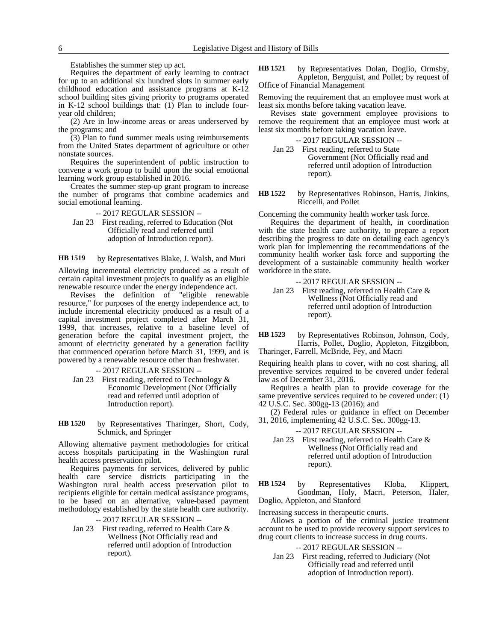Establishes the summer step up act.

Requires the department of early learning to contract for up to an additional six hundred slots in summer early childhood education and assistance programs at K-12 school building sites giving priority to programs operated in K-12 school buildings that: (1) Plan to include fouryear old children;

(2) Are in low-income areas or areas underserved by the programs; and

(3) Plan to fund summer meals using reimbursements from the United States department of agriculture or other nonstate sources.

Requires the superintendent of public instruction to convene a work group to build upon the social emotional learning work group established in 2016.

Creates the summer step-up grant program to increase the number of programs that combine academics and social emotional learning.

### -- 2017 REGULAR SESSION --

Jan 23 First reading, referred to Education (Not Officially read and referred until adoption of Introduction report).

by Representatives Blake, J. Walsh, and Muri **HB 1519**

Allowing incremental electricity produced as a result of certain capital investment projects to qualify as an eligible renewable resource under the energy independence act.

Revises the definition of "eligible renewable resource," for purposes of the energy independence act, to include incremental electricity produced as a result of a capital investment project completed after March 31, 1999, that increases, relative to a baseline level of generation before the capital investment project, the amount of electricity generated by a generation facility that commenced operation before March 31, 1999, and is powered by a renewable resource other than freshwater.

-- 2017 REGULAR SESSION --

Jan 23 First reading, referred to Technology & Economic Development (Not Officially read and referred until adoption of Introduction report).

by Representatives Tharinger, Short, Cody, Schmick, and Springer **HB 1520**

Allowing alternative payment methodologies for critical access hospitals participating in the Washington rural health access preservation pilot.

Requires payments for services, delivered by public health care service districts participating in the Washington rural health access preservation pilot to recipients eligible for certain medical assistance programs, to be based on an alternative, value-based payment methodology established by the state health care authority.

-- 2017 REGULAR SESSION --

Jan 23 First reading, referred to Health Care & Wellness (Not Officially read and referred until adoption of Introduction report).

by Representatives Dolan, Doglio, Ormsby, Appleton, Bergquist, and Pollet; by request of Office of Financial Management **HB 1521**

Removing the requirement that an employee must work at least six months before taking vacation leave.

Revises state government employee provisions to remove the requirement that an employee must work at least six months before taking vacation leave.

| -- 2017 REGULAR SESSION --              |
|-----------------------------------------|
| Jan 23 First reading, referred to State |
| Government (Not Officially read and     |
| referred until adoption of Introduction |
| report).                                |

by Representatives Robinson, Harris, Jinkins, Riccelli, and Pollet **HB 1522**

Concerning the community health worker task force.

Requires the department of health, in coordination with the state health care authority, to prepare a report describing the progress to date on detailing each agency's work plan for implementing the recommendations of the community health worker task force and supporting the development of a sustainable community health worker workforce in the state.

-- 2017 REGULAR SESSION --

Jan 23 First reading, referred to Health Care & Wellness (Not Officially read and referred until adoption of Introduction report).

by Representatives Robinson, Johnson, Cody, Harris, Pollet, Doglio, Appleton, Fitzgibbon, Tharinger, Farrell, McBride, Fey, and Macri **HB 1523**

Requiring health plans to cover, with no cost sharing, all preventive services required to be covered under federal law as of December 31, 2016.

Requires a health plan to provide coverage for the same preventive services required to be covered under: (1) 42 U.S.C. Sec. 300gg-13 (2016); and

(2) Federal rules or guidance in effect on December 31, 2016, implementing 42 U.S.C. Sec. 300gg-13.

-- 2017 REGULAR SESSION --

Jan 23 First reading, referred to Health Care & Wellness (Not Officially read and referred until adoption of Introduction report).

by Representatives Kloba, Klippert, Goodman, Holy, Macri, Peterson, Haler, Doglio, Appleton, and Stanford **HB 1524**

Increasing success in therapeutic courts.

Allows a portion of the criminal justice treatment account to be used to provide recovery support services to drug court clients to increase success in drug courts.

### -- 2017 REGULAR SESSION --

Jan 23 First reading, referred to Judiciary (Not Officially read and referred until adoption of Introduction report).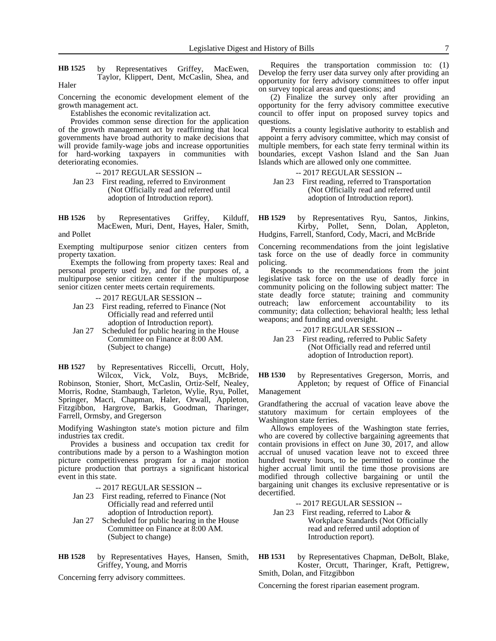by Representatives Griffey, MacEwen, Taylor, Klippert, Dent, McCaslin, Shea, and **HB 1525**

Haler

Concerning the economic development element of the growth management act.

Establishes the economic revitalization act.

Provides common sense direction for the application of the growth management act by reaffirming that local governments have broad authority to make decisions that will provide family-wage jobs and increase opportunities for hard-working taxpayers in communities with deteriorating economies.

-- 2017 REGULAR SESSION --

Jan 23 First reading, referred to Environment (Not Officially read and referred until adoption of Introduction report).

by Representatives Griffey, Kilduff, MacEwen, Muri, Dent, Hayes, Haler, Smith, and Pollet **HB 1526**

Exempting multipurpose senior citizen centers from property taxation.

Exempts the following from property taxes: Real and personal property used by, and for the purposes of, a multipurpose senior citizen center if the multipurpose senior citizen center meets certain requirements.

-- 2017 REGULAR SESSION --

- Jan 23 First reading, referred to Finance (Not Officially read and referred until adoption of Introduction report).
- Jan 27 Scheduled for public hearing in the House Committee on Finance at 8:00 AM. (Subject to change)

by Representatives Riccelli, Orcutt, Holy, Wilcox, Vick, Volz, Buys, McBride, Robinson, Stonier, Short, McCaslin, Ortiz-Self, Nealey, Morris, Rodne, Stambaugh, Tarleton, Wylie, Ryu, Pollet, Springer, Macri, Chapman, Haler, Orwall, Appleton, Fitzgibbon, Hargrove, Barkis, Goodman, Tharinger, Farrell, Ormsby, and Gregerson **HB 1527**

Modifying Washington state's motion picture and film industries tax credit.

Provides a business and occupation tax credit for contributions made by a person to a Washington motion picture competitiveness program for a major motion picture production that portrays a significant historical event in this state.

-- 2017 REGULAR SESSION --

- Jan 23 First reading, referred to Finance (Not Officially read and referred until adoption of Introduction report).
- Jan 27 Scheduled for public hearing in the House Committee on Finance at 8:00 AM. (Subject to change)
- by Representatives Hayes, Hansen, Smith, Griffey, Young, and Morris **HB 1528**

Concerning ferry advisory committees.

Requires the transportation commission to: (1) Develop the ferry user data survey only after providing an opportunity for ferry advisory committees to offer input on survey topical areas and questions; and

(2) Finalize the survey only after providing an opportunity for the ferry advisory committee executive council to offer input on proposed survey topics and questions.

Permits a county legislative authority to establish and appoint a ferry advisory committee, which may consist of multiple members, for each state ferry terminal within its boundaries, except Vashon Island and the San Juan Islands which are allowed only one committee.

-- 2017 REGULAR SESSION --

Jan 23 First reading, referred to Transportation (Not Officially read and referred until adoption of Introduction report).

by Representatives Ryu, Santos, Jinkins, Kirby, Pollet, Senn, Dolan, Appleton, Hudgins, Farrell, Stanford, Cody, Macri, and McBride **HB 1529**

Concerning recommendations from the joint legislative task force on the use of deadly force in community policing.

Responds to the recommendations from the joint legislative task force on the use of deadly force in community policing on the following subject matter: The state deadly force statute; training and community outreach; law enforcement accountability to its community; data collection; behavioral health; less lethal weapons; and funding and oversight.

-- 2017 REGULAR SESSION --

Jan 23 First reading, referred to Public Safety (Not Officially read and referred until adoption of Introduction report).

by Representatives Gregerson, Morris, and Appleton; by request of Office of Financial Management **HB 1530**

Grandfathering the accrual of vacation leave above the statutory maximum for certain employees of the Washington state ferries.

Allows employees of the Washington state ferries, who are covered by collective bargaining agreements that contain provisions in effect on June 30, 2017, and allow accrual of unused vacation leave not to exceed three hundred twenty hours, to be permitted to continue the higher accrual limit until the time those provisions are modified through collective bargaining or until the bargaining unit changes its exclusive representative or is decertified.

-- 2017 REGULAR SESSION --

Jan 23 First reading, referred to Labor & Workplace Standards (Not Officially read and referred until adoption of Introduction report).

by Representatives Chapman, DeBolt, Blake, Koster, Orcutt, Tharinger, Kraft, Pettigrew, Smith, Dolan, and Fitzgibbon **HB 1531**

Concerning the forest riparian easement program.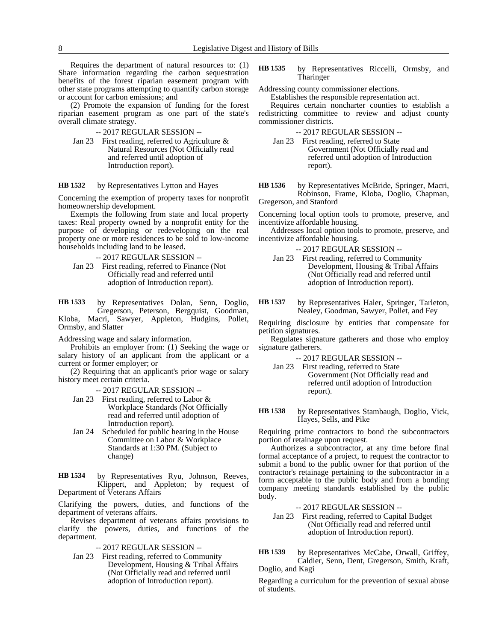Requires the department of natural resources to: (1) Share information regarding the carbon sequestration benefits of the forest riparian easement program with other state programs attempting to quantify carbon storage or account for carbon emissions; and

(2) Promote the expansion of funding for the forest riparian easement program as one part of the state's overall climate strategy.

-- 2017 REGULAR SESSION --

Jan 23 First reading, referred to Agriculture & Natural Resources (Not Officially read and referred until adoption of Introduction report).

#### by Representatives Lytton and Hayes **HB 1532**

Concerning the exemption of property taxes for nonprofit homeownership development.

Exempts the following from state and local property taxes: Real property owned by a nonprofit entity for the purpose of developing or redeveloping on the real property one or more residences to be sold to low-income households including land to be leased.

-- 2017 REGULAR SESSION --

Jan 23 First reading, referred to Finance (Not Officially read and referred until adoption of Introduction report).

by Representatives Dolan, Senn, Doglio, Gregerson, Peterson, Bergquist, Goodman, Kloba, Macri, Sawyer, Appleton, Hudgins, Pollet, Ormsby, and Slatter **HB 1533**

Addressing wage and salary information.

Prohibits an employer from: (1) Seeking the wage or salary history of an applicant from the applicant or a current or former employer; or

(2) Requiring that an applicant's prior wage or salary history meet certain criteria.

-- 2017 REGULAR SESSION --

- Jan 23 First reading, referred to Labor & Workplace Standards (Not Officially read and referred until adoption of Introduction report).
- Jan 24 Scheduled for public hearing in the House Committee on Labor & Workplace Standards at 1:30 PM. (Subject to change)

by Representatives Ryu, Johnson, Reeves, Klippert, and Appleton; by request of Department of Veterans Affairs **HB 1534**

Clarifying the powers, duties, and functions of the department of veterans affairs.

Revises department of veterans affairs provisions to clarify the powers, duties, and functions of the department.

-- 2017 REGULAR SESSION --

Jan 23 First reading, referred to Community Development, Housing & Tribal Affairs (Not Officially read and referred until adoption of Introduction report).

by Representatives Riccelli, Ormsby, and Tharinger **HB 1535**

Addressing county commissioner elections.

Establishes the responsible representation act.

Requires certain noncharter counties to establish a redistricting committee to review and adjust county commissioner districts.

-- 2017 REGULAR SESSION --

- Jan 23 First reading, referred to State Government (Not Officially read and referred until adoption of Introduction report).
- by Representatives McBride, Springer, Macri, Robinson, Frame, Kloba, Doglio, Chapman, Gregerson, and Stanford **HB 1536**

Concerning local option tools to promote, preserve, and incentivize affordable housing.

Addresses local option tools to promote, preserve, and incentivize affordable housing.

- -- 2017 REGULAR SESSION --
- Jan 23 First reading, referred to Community Development, Housing & Tribal Affairs (Not Officially read and referred until adoption of Introduction report).
- by Representatives Haler, Springer, Tarleton, Nealey, Goodman, Sawyer, Pollet, and Fey **HB 1537**

Requiring disclosure by entities that compensate for petition signatures.

Regulates signature gatherers and those who employ signature gatherers.

- -- 2017 REGULAR SESSION --
- Jan 23 First reading, referred to State Government (Not Officially read and referred until adoption of Introduction report).
- by Representatives Stambaugh, Doglio, Vick, Hayes, Sells, and Pike **HB 1538**

Requiring prime contractors to bond the subcontractors portion of retainage upon request.

Authorizes a subcontractor, at any time before final formal acceptance of a project, to request the contractor to submit a bond to the public owner for that portion of the contractor's retainage pertaining to the subcontractor in a form acceptable to the public body and from a bonding company meeting standards established by the public body.

-- 2017 REGULAR SESSION --

Jan 23 First reading, referred to Capital Budget (Not Officially read and referred until adoption of Introduction report).

by Representatives McCabe, Orwall, Griffey, Caldier, Senn, Dent, Gregerson, Smith, Kraft, Doglio, and Kagi **HB 1539**

Regarding a curriculum for the prevention of sexual abuse of students.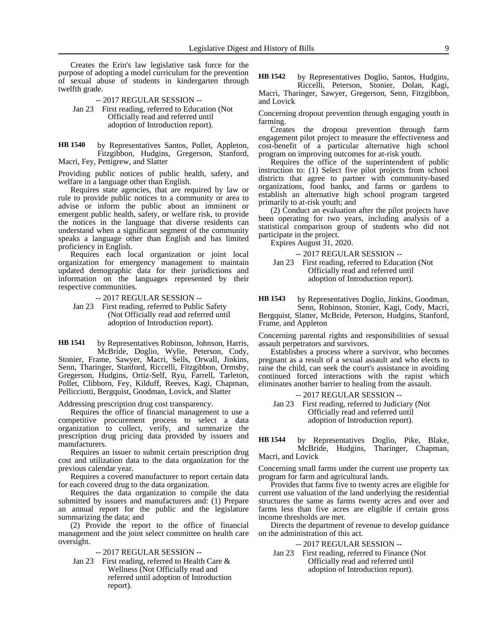Creates the Erin's law legislative task force for the purpose of adopting a model curriculum for the prevention of sexual abuse of students in kindergarten through twelfth grade.

-- 2017 REGULAR SESSION -- Jan 23 First reading, referred to Education (Not Officially read and referred until adoption of Introduction report).

by Representatives Santos, Pollet, Appleton, Fitzgibbon, Hudgins, Gregerson, Stanford, Macri, Fey, Pettigrew, and Slatter **HB 1540**

Providing public notices of public health, safety, and welfare in a language other than English.

Requires state agencies, that are required by law or rule to provide public notices to a community or area to advise or inform the public about an imminent or emergent public health, safety, or welfare risk, to provide the notices in the language that diverse residents can understand when a significant segment of the community speaks a language other than English and has limited proficiency in English.

Requires each local organization or joint local organization for emergency management to maintain updated demographic data for their jurisdictions and information on the languages represented by their respective communities.

-- 2017 REGULAR SESSION --

Jan 23 First reading, referred to Public Safety (Not Officially read and referred until adoption of Introduction report).

by Representatives Robinson, Johnson, Harris, McBride, Doglio, Wylie, Peterson, Cody, Stonier, Frame, Sawyer, Macri, Sells, Orwall, Jinkins, Senn, Tharinger, Stanford, Riccelli, Fitzgibbon, Ormsby, Gregerson, Hudgins, Ortiz-Self, Ryu, Farrell, Tarleton, Pollet, Clibborn, Fey, Kilduff, Reeves, Kagi, Chapman, Pellicciotti, Bergquist, Goodman, Lovick, and Slatter **HB 1541**

Addressing prescription drug cost transparency.

Requires the office of financial management to use a competitive procurement process to select a data organization to collect, verify, and summarize the prescription drug pricing data provided by issuers and manufacturers.

Requires an issuer to submit certain prescription drug cost and utilization data to the data organization for the previous calendar year.

Requires a covered manufacturer to report certain data for each covered drug to the data organization.

Requires the data organization to compile the data submitted by issuers and manufacturers and: (1) Prepare an annual report for the public and the legislature summarizing the data; and

(2) Provide the report to the office of financial management and the joint select committee on health care oversight.

-- 2017 REGULAR SESSION --

Jan 23 First reading, referred to Health Care & Wellness (Not Officially read and referred until adoption of Introduction report).

by Representatives Doglio, Santos, Hudgins, Riccelli, Peterson, Stonier, Dolan, Kagi, **HB 1542**

Macri, Tharinger, Sawyer, Gregerson, Senn, Fitzgibbon, and Lovick

Concerning dropout prevention through engaging youth in farming.

Creates the dropout prevention through farm engagement pilot project to measure the effectiveness and cost-benefit of a particular alternative high school program on improving outcomes for at-risk youth.

Requires the office of the superintendent of public instruction to: (1) Select five pilot projects from school districts that agree to partner with community-based organizations, food banks, and farms or gardens to establish an alternative high school program targeted primarily to at-risk youth; and

(2) Conduct an evaluation after the pilot projects have been operating for two years, including analysis of a statistical comparison group of students who did not participate in the project.

Expires August 31, 2020.

-- 2017 REGULAR SESSION --

Jan 23 First reading, referred to Education (Not Officially read and referred until adoption of Introduction report).

by Representatives Doglio, Jinkins, Goodman, Senn, Robinson, Stonier, Kagi, Cody, Macri, **HB 1543**

Bergquist, Slatter, McBride, Peterson, Hudgins, Stanford, Frame, and Appleton

Concerning parental rights and responsibilities of sexual assault perpetrators and survivors.

Establishes a process where a survivor, who becomes pregnant as a result of a sexual assault and who elects to raise the child, can seek the court's assistance in avoiding continued forced interactions with the rapist which eliminates another barrier to healing from the assault.

-- 2017 REGULAR SESSION -- Jan 23 First reading, referred to Judiciary (Not Officially read and referred until

by Representatives Doglio, Pike, Blake, McBride, Hudgins, Tharinger, Chapman, Macri, and Lovick **HB 1544**

adoption of Introduction report).

Concerning small farms under the current use property tax program for farm and agricultural lands.

Provides that farms five to twenty acres are eligible for current use valuation of the land underlying the residential structures the same as farms twenty acres and over and farms less than five acres are eligible if certain gross income thresholds are met.

Directs the department of revenue to develop guidance on the administration of this act.

-- 2017 REGULAR SESSION --

Jan 23 First reading, referred to Finance (Not Officially read and referred until adoption of Introduction report).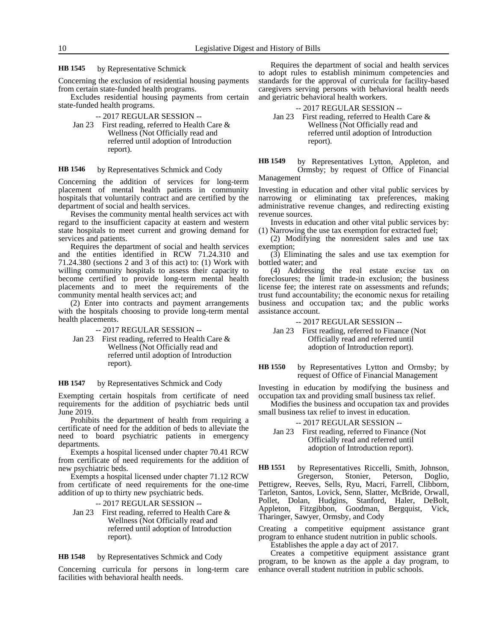#### by Representative Schmick **HB 1545**

Concerning the exclusion of residential housing payments from certain state-funded health programs.

Excludes residential housing payments from certain state-funded health programs.

- -- 2017 REGULAR SESSION --
- Jan 23 First reading, referred to Health Care & Wellness (Not Officially read and referred until adoption of Introduction report).

#### by Representatives Schmick and Cody **HB 1546**

Concerning the addition of services for long-term placement of mental health patients in community hospitals that voluntarily contract and are certified by the department of social and health services.

Revises the community mental health services act with regard to the insufficient capacity at eastern and western state hospitals to meet current and growing demand for services and patients.

Requires the department of social and health services and the entities identified in RCW 71.24.310 and 71.24.380 (sections 2 and 3 of this act) to: (1) Work with willing community hospitals to assess their capacity to become certified to provide long-term mental health placements and to meet the requirements of the community mental health services act; and

(2) Enter into contracts and payment arrangements with the hospitals choosing to provide long-term mental health placements.

-- 2017 REGULAR SESSION --

Jan 23 First reading, referred to Health Care & Wellness (Not Officially read and referred until adoption of Introduction report).

#### by Representatives Schmick and Cody **HB 1547**

Exempting certain hospitals from certificate of need requirements for the addition of psychiatric beds until June 2019.

Prohibits the department of health from requiring a certificate of need for the addition of beds to alleviate the need to board psychiatric patients in emergency departments.

Exempts a hospital licensed under chapter 70.41 RCW from certificate of need requirements for the addition of new psychiatric beds.

Exempts a hospital licensed under chapter 71.12 RCW from certificate of need requirements for the one-time addition of up to thirty new psychiatric beds.

-- 2017 REGULAR SESSION --

Jan 23 First reading, referred to Health Care & Wellness (Not Officially read and referred until adoption of Introduction report).

by Representatives Schmick and Cody **HB 1548**

Concerning curricula for persons in long-term care facilities with behavioral health needs.

Requires the department of social and health services to adopt rules to establish minimum competencies and standards for the approval of curricula for facility-based caregivers serving persons with behavioral health needs and geriatric behavioral health workers.

-- 2017 REGULAR SESSION --

Jan 23 First reading, referred to Health Care & Wellness (Not Officially read and referred until adoption of Introduction report).

by Representatives Lytton, Appleton, and Ormsby; by request of Office of Financial **HB 1549**

Investing in education and other vital public services by narrowing or eliminating tax preferences, making administrative revenue changes, and redirecting existing revenue sources.

Invests in education and other vital public services by: (1) Narrowing the use tax exemption for extracted fuel;

(2) Modifying the nonresident sales and use tax exemption;

(3) Eliminating the sales and use tax exemption for bottled water; and

(4) Addressing the real estate excise tax on foreclosures; the limit trade-in exclusion; the business license fee; the interest rate on assessments and refunds; trust fund accountability; the economic nexus for retailing business and occupation tax; and the public works assistance account.

-- 2017 REGULAR SESSION --

Jan 23 First reading, referred to Finance (Not Officially read and referred until adoption of Introduction report).

by Representatives Lytton and Ormsby; by request of Office of Financial Management **HB 1550**

Investing in education by modifying the business and occupation tax and providing small business tax relief.

Modifies the business and occupation tax and provides small business tax relief to invest in education.

-- 2017 REGULAR SESSION --

Jan 23 First reading, referred to Finance (Not Officially read and referred until adoption of Introduction report).

by Representatives Riccelli, Smith, Johnson, Gregerson, Stonier, Peterson, Doglio, Pettigrew, Reeves, Sells, Ryu, Macri, Farrell, Clibborn, Tarleton, Santos, Lovick, Senn, Slatter, McBride, Orwall, Pollet, Dolan, Hudgins, Stanford, Haler, DeBolt, Appleton, Fitzgibbon, Goodman, Bergquist, Vick, Tharinger, Sawyer, Ormsby, and Cody **HB 1551**

Creating a competitive equipment assistance grant program to enhance student nutrition in public schools.

Establishes the apple a day act of 2017.

Creates a competitive equipment assistance grant program, to be known as the apple a day program, to enhance overall student nutrition in public schools.

Management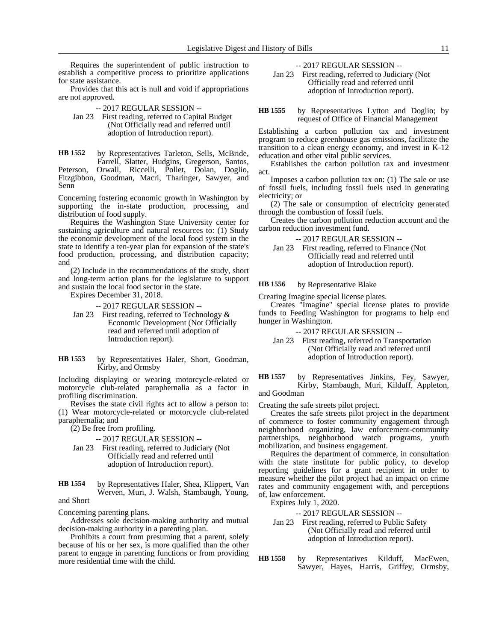Requires the superintendent of public instruction to establish a competitive process to prioritize applications for state assistance.

Provides that this act is null and void if appropriations are not approved.

-- 2017 REGULAR SESSION --

Jan 23 First reading, referred to Capital Budget (Not Officially read and referred until adoption of Introduction report).

by Representatives Tarleton, Sells, McBride, Farrell, Slatter, Hudgins, Gregerson, Santos, Peterson, Orwall, Riccelli, Pollet, Dolan, Doglio, Fitzgibbon, Goodman, Macri, Tharinger, Sawyer, and Senn **HB 1552**

Concerning fostering economic growth in Washington by supporting the in-state production, processing, and distribution of food supply.

Requires the Washington State University center for sustaining agriculture and natural resources to: (1) Study the economic development of the local food system in the state to identify a ten-year plan for expansion of the state's food production, processing, and distribution capacity; and

(2) Include in the recommendations of the study, short and long-term action plans for the legislature to support and sustain the local food sector in the state.

Expires December 31, 2018.

-- 2017 REGULAR SESSION --

Jan 23 First reading, referred to Technology & Economic Development (Not Officially read and referred until adoption of Introduction report).

by Representatives Haler, Short, Goodman, Kirby, and Ormsby **HB 1553**

Including displaying or wearing motorcycle-related or motorcycle club-related paraphernalia as a factor in profiling discrimination.

Revises the state civil rights act to allow a person to: (1) Wear motorcycle-related or motorcycle club-related paraphernalia; and

(2) Be free from profiling.

### -- 2017 REGULAR SESSION --

- Jan 23 First reading, referred to Judiciary (Not Officially read and referred until adoption of Introduction report).
- by Representatives Haler, Shea, Klippert, Van Werven, Muri, J. Walsh, Stambaugh, Young, **HB 1554**

and Short

Concerning parenting plans.

Addresses sole decision-making authority and mutual decision-making authority in a parenting plan.

Prohibits a court from presuming that a parent, solely because of his or her sex, is more qualified than the other parent to engage in parenting functions or from providing more residential time with the child.

-- 2017 REGULAR SESSION --

Jan 23 First reading, referred to Judiciary (Not Officially read and referred until adoption of Introduction report).

by Representatives Lytton and Doglio; by request of Office of Financial Management **HB 1555**

Establishing a carbon pollution tax and investment program to reduce greenhouse gas emissions, facilitate the transition to a clean energy economy, and invest in K-12 education and other vital public services.

Establishes the carbon pollution tax and investment act.

Imposes a carbon pollution tax on: (1) The sale or use of fossil fuels, including fossil fuels used in generating electricity; or

(2) The sale or consumption of electricity generated through the combustion of fossil fuels.

Creates the carbon pollution reduction account and the carbon reduction investment fund.

-- 2017 REGULAR SESSION --

Jan 23 First reading, referred to Finance (Not Officially read and referred until adoption of Introduction report).

by Representative Blake **HB 1556**

Creating Imagine special license plates.

Creates "Imagine" special license plates to provide funds to Feeding Washington for programs to help end hunger in Washington.

-- 2017 REGULAR SESSION --

Jan 23 First reading, referred to Transportation (Not Officially read and referred until adoption of Introduction report).

by Representatives Jinkins, Fey, Sawyer, Kirby, Stambaugh, Muri, Kilduff, Appleton, and Goodman **HB 1557**

Creating the safe streets pilot project.

Creates the safe streets pilot project in the department of commerce to foster community engagement through neighborhood organizing, law enforcement-community partnerships, neighborhood watch programs, youth mobilization, and business engagement.

Requires the department of commerce, in consultation with the state institute for public policy, to develop reporting guidelines for a grant recipient in order to measure whether the pilot project had an impact on crime rates and community engagement with, and perceptions of, law enforcement.

Expires July 1, 2020.

-- 2017 REGULAR SESSION --

- Jan 23 First reading, referred to Public Safety (Not Officially read and referred until adoption of Introduction report).
- by Representatives Kilduff, MacEwen, Sawyer, Hayes, Harris, Griffey, Ormsby, **HB 1558**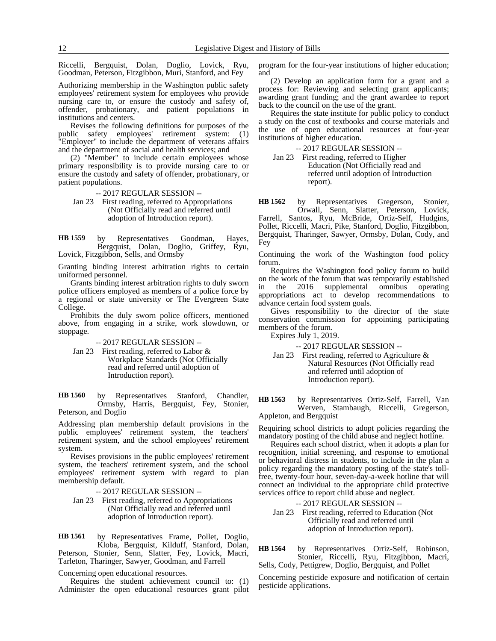Riccelli, Bergquist, Dolan, Doglio, Lovick, Ryu, Goodman, Peterson, Fitzgibbon, Muri, Stanford, and Fey

Authorizing membership in the Washington public safety employees' retirement system for employees who provide nursing care to, or ensure the custody and safety of, offender, probationary, and patient populations in institutions and centers.

Revises the following definitions for purposes of the public safety employees' retirement system: (1) "Employer" to include the department of veterans affairs and the department of social and health services; and

(2) "Member" to include certain employees whose primary responsibility is to provide nursing care to or ensure the custody and safety of offender, probationary, or patient populations.

-- 2017 REGULAR SESSION --

Jan 23 First reading, referred to Appropriations (Not Officially read and referred until adoption of Introduction report).

by Representatives Goodman, Hayes, Bergquist, Dolan, Doglio, Griffey, Ryu, Lovick, Fitzgibbon, Sells, and Ormsby **HB 1559**

Granting binding interest arbitration rights to certain uniformed personnel.

Grants binding interest arbitration rights to duly sworn police officers employed as members of a police force by a regional or state university or The Evergreen State College.

Prohibits the duly sworn police officers, mentioned above, from engaging in a strike, work slowdown, or stoppage.

-- 2017 REGULAR SESSION --

Jan 23 First reading, referred to Labor & Workplace Standards (Not Officially read and referred until adoption of Introduction report).

by Representatives Stanford, Chandler, Ormsby, Harris, Bergquist, Fey, Stonier, Peterson, and Doglio **HB 1560**

Addressing plan membership default provisions in the public employees' retirement system, the teachers' retirement system, and the school employees' retirement system.

Revises provisions in the public employees' retirement system, the teachers' retirement system, and the school employees' retirement system with regard to plan membership default.

-- 2017 REGULAR SESSION --

Jan 23 First reading, referred to Appropriations (Not Officially read and referred until adoption of Introduction report).

by Representatives Frame, Pollet, Doglio, Kloba, Bergquist, Kilduff, Stanford, Dolan, **HB 1561**

Peterson, Stonier, Senn, Slatter, Fey, Lovick, Macri, Tarleton, Tharinger, Sawyer, Goodman, and Farrell

Concerning open educational resources.

Requires the student achievement council to: (1) Administer the open educational resources grant pilot program for the four-year institutions of higher education; and

(2) Develop an application form for a grant and a process for: Reviewing and selecting grant applicants; awarding grant funding; and the grant awardee to report back to the council on the use of the grant.

Requires the state institute for public policy to conduct a study on the cost of textbooks and course materials and the use of open educational resources at four-year institutions of higher education.

-- 2017 REGULAR SESSION --

Jan 23 First reading, referred to Higher Education (Not Officially read and referred until adoption of Introduction report).

by Representatives Gregerson, Stonier, Orwall, Senn, Slatter, Peterson, Lovick, Farrell, Santos, Ryu, McBride, Ortiz-Self, Hudgins, Pollet, Riccelli, Macri, Pike, Stanford, Doglio, Fitzgibbon, Bergquist, Tharinger, Sawyer, Ormsby, Dolan, Cody, and Fey **HB 1562**

Continuing the work of the Washington food policy forum.

Requires the Washington food policy forum to build on the work of the forum that was temporarily established in the 2016 supplemental omnibus operating appropriations act to develop recommendations to advance certain food system goals.

Gives responsibility to the director of the state conservation commission for appointing participating members of the forum.

Expires July 1, 2019.

-- 2017 REGULAR SESSION --

Jan 23 First reading, referred to Agriculture & Natural Resources (Not Officially read and referred until adoption of Introduction report).

by Representatives Ortiz-Self, Farrell, Van Werven, Stambaugh, Riccelli, Gregerson, Appleton, and Bergquist **HB 1563**

Requiring school districts to adopt policies regarding the mandatory posting of the child abuse and neglect hotline.

Requires each school district, when it adopts a plan for recognition, initial screening, and response to emotional or behavioral distress in students, to include in the plan a policy regarding the mandatory posting of the state's tollfree, twenty-four hour, seven-day-a-week hotline that will connect an individual to the appropriate child protective services office to report child abuse and neglect.

- -- 2017 REGULAR SESSION --
- Jan 23 First reading, referred to Education (Not Officially read and referred until adoption of Introduction report).

by Representatives Ortiz-Self, Robinson, Stonier, Riccelli, Ryu, Fitzgibbon, Macri, Sells, Cody, Pettigrew, Doglio, Bergquist, and Pollet **HB 1564**

Concerning pesticide exposure and notification of certain pesticide applications.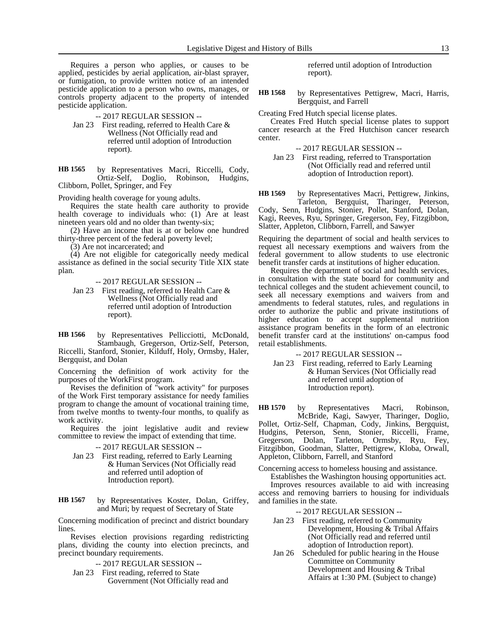Requires a person who applies, or causes to be applied, pesticides by aerial application, air-blast sprayer, or fumigation, to provide written notice of an intended pesticide application to a person who owns, manages, or controls property adjacent to the property of intended pesticide application.

-- 2017 REGULAR SESSION --

Jan 23 First reading, referred to Health Care & Wellness (Not Officially read and referred until adoption of Introduction report).

by Representatives Macri, Riccelli, Cody, Ortiz-Self, Doglio, Robinson, Hudgins, Clibborn, Pollet, Springer, and Fey **HB 1565**

Providing health coverage for young adults.

Requires the state health care authority to provide health coverage to individuals who: (1) Are at least nineteen years old and no older than twenty-six;

(2) Have an income that is at or below one hundred thirty-three percent of the federal poverty level;

(3) Are not incarcerated; and

(4) Are not eligible for categorically needy medical assistance as defined in the social security Title XIX state plan.

-- 2017 REGULAR SESSION --

Jan 23 First reading, referred to Health Care & Wellness (Not Officially read and referred until adoption of Introduction report).

by Representatives Pellicciotti, McDonald, Stambaugh, Gregerson, Ortiz-Self, Peterson, Riccelli, Stanford, Stonier, Kilduff, Holy, Ormsby, Haler, Bergquist, and Dolan **HB 1566**

Concerning the definition of work activity for the purposes of the WorkFirst program.

Revises the definition of "work activity" for purposes of the Work First temporary assistance for needy families program to change the amount of vocational training time, from twelve months to twenty-four months, to qualify as work activity.

Requires the joint legislative audit and review committee to review the impact of extending that time.

-- 2017 REGULAR SESSION --

Jan 23 First reading, referred to Early Learning & Human Services (Not Officially read and referred until adoption of Introduction report).

by Representatives Koster, Dolan, Griffey, and Muri; by request of Secretary of State **HB 1567**

Concerning modification of precinct and district boundary lines.

Revises election provisions regarding redistricting plans, dividing the county into election precincts, and precinct boundary requirements.

-- 2017 REGULAR SESSION --

Jan 23 First reading, referred to State Government (Not Officially read and referred until adoption of Introduction report).

by Representatives Pettigrew, Macri, Harris, Bergquist, and Farrell **HB 1568**

Creating Fred Hutch special license plates.

Creates Fred Hutch special license plates to support cancer research at the Fred Hutchison cancer research center.

-- 2017 REGULAR SESSION --

Jan 23 First reading, referred to Transportation (Not Officially read and referred until adoption of Introduction report).

by Representatives Macri, Pettigrew, Jinkins, Tarleton, Bergquist, Tharinger, Peterson, **HB 1569**

Cody, Senn, Hudgins, Stonier, Pollet, Stanford, Dolan, Kagi, Reeves, Ryu, Springer, Gregerson, Fey, Fitzgibbon, Slatter, Appleton, Clibborn, Farrell, and Sawyer

Requiring the department of social and health services to request all necessary exemptions and waivers from the federal government to allow students to use electronic benefit transfer cards at institutions of higher education.

Requires the department of social and health services, in consultation with the state board for community and technical colleges and the student achievement council, to seek all necessary exemptions and waivers from and amendments to federal statutes, rules, and regulations in order to authorize the public and private institutions of higher education to accept supplemental nutrition assistance program benefits in the form of an electronic benefit transfer card at the institutions' on-campus food retail establishments.

-- 2017 REGULAR SESSION --

Jan 23 First reading, referred to Early Learning & Human Services (Not Officially read and referred until adoption of Introduction report).

by Representatives Macri, Robinson, McBride, Kagi, Sawyer, Tharinger, Doglio, Pollet, Ortiz-Self, Chapman, Cody, Jinkins, Bergquist, Hudgins, Peterson, Senn, Stonier, Riccelli, Frame, Gregerson, Dolan, Tarleton, Ormsby, Ryu, Fey, Fitzgibbon, Goodman, Slatter, Pettigrew, Kloba, Orwall, Appleton, Clibborn, Farrell, and Stanford **HB 1570**

Concerning access to homeless housing and assistance.

Establishes the Washington housing opportunities act. Improves resources available to aid with increasing access and removing barriers to housing for individuals and families in the state.

-- 2017 REGULAR SESSION --

Jan 23 First reading, referred to Community Development, Housing & Tribal Affairs (Not Officially read and referred until adoption of Introduction report).

Jan 26 Scheduled for public hearing in the House Committee on Community Development and Housing & Tribal Affairs at 1:30 PM. (Subject to change)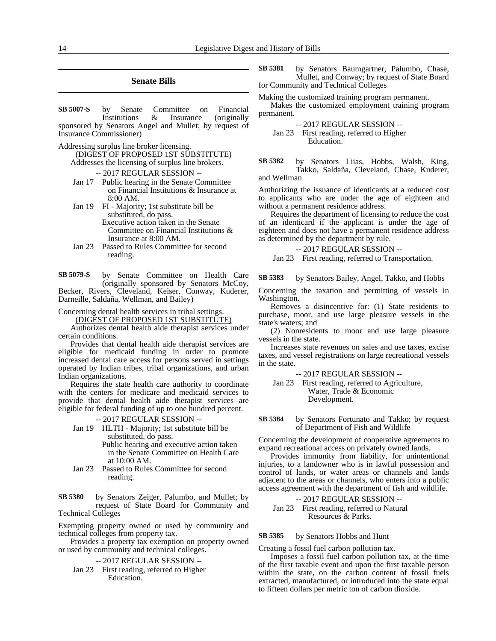### **Senate Bills**

by Senate Committee on Financial Institutions & Insurance (originally sponsored by Senators Angel and Mullet; by request of Insurance Commissioner) **SB 5007-S**

Addressing surplus line broker licensing.

(DIGEST OF PROPOSED 1ST SUBSTITUTE)

Addresses the licensing of surplus line brokers.

-- 2017 REGULAR SESSION --

- Jan 17 Public hearing in the Senate Committee on Financial Institutions & Insurance at 8:00 AM.
- Jan 19 FI Majority; 1st substitute bill be substituted, do pass. Executive action taken in the Senate Committee on Financial Institutions & Insurance at 8:00 AM.
- Jan 23 Passed to Rules Committee for second reading.

by Senate Committee on Health Care (originally sponsored by Senators McCoy, Becker, Rivers, Cleveland, Keiser, Conway, Kuderer, **SB 5079-S**

Darneille, Saldaña, Wellman, and Bailey)

Concerning dental health services in tribal settings.

(DIGEST OF PROPOSED 1ST SUBSTITUTE)

Authorizes dental health aide therapist services under certain conditions.

Provides that dental health aide therapist services are eligible for medicaid funding in order to promote increased dental care access for persons served in settings operated by Indian tribes, tribal organizations, and urban Indian organizations.

Requires the state health care authority to coordinate with the centers for medicare and medicaid services to provide that dental health aide therapist services are eligible for federal funding of up to one hundred percent.

#### -- 2017 REGULAR SESSION --

Jan 19 HLTH - Majority; 1st substitute bill be substituted, do pass.

Public hearing and executive action taken in the Senate Committee on Health Care at 10:00 AM.

Jan 23 Passed to Rules Committee for second reading.

by Senators Zeiger, Palumbo, and Mullet; by request of State Board for Community and Technical Colleges **SB 5380**

Exempting property owned or used by community and technical colleges from property tax.

Provides a property tax exemption on property owned or used by community and technical colleges.

### -- 2017 REGULAR SESSION --

Jan 23 First reading, referred to Higher Education.

by Senators Baumgartner, Palumbo, Chase, Mullet, and Conway; by request of State Board for Community and Technical Colleges **SB 5381**

Making the customized training program permanent.

Makes the customized employment training program permanent.

-- 2017 REGULAR SESSION --

Jan 23 First reading, referred to Higher Education.

by Senators Liias, Hobbs, Walsh, King, Takko, Saldaña, Cleveland, Chase, Kuderer, and Wellman **SB 5382**

Authorizing the issuance of identicards at a reduced cost to applicants who are under the age of eighteen and without a permanent residence address.

Requires the department of licensing to reduce the cost of an identicard if the applicant is under the age of eighteen and does not have a permanent residence address as determined by the department by rule.

-- 2017 REGULAR SESSION --

Jan 23 First reading, referred to Transportation.

by Senators Bailey, Angel, Takko, and Hobbs **SB 5383**

Concerning the taxation and permitting of vessels in Washington.

Removes a disincentive for: (1) State residents to purchase, moor, and use large pleasure vessels in the state's waters; and

(2) Nonresidents to moor and use large pleasure vessels in the state.

Increases state revenues on sales and use taxes, excise taxes, and vessel registrations on large recreational vessels in the state.

-- 2017 REGULAR SESSION --

Jan 23 First reading, referred to Agriculture, Water, Trade & Economic Development.

by Senators Fortunato and Takko; by request of Department of Fish and Wildlife **SB 5384**

Concerning the development of cooperative agreements to expand recreational access on privately owned lands.

Provides immunity from liability, for unintentional injuries, to a landowner who is in lawful possession and control of lands, or water areas or channels and lands adjacent to the areas or channels, who enters into a public access agreement with the department of fish and wildlife.

### -- 2017 REGULAR SESSION -- Jan 23 First reading, referred to Natural Resources & Parks.

#### by Senators Hobbs and Hunt **SB 5385**

Creating a fossil fuel carbon pollution tax.

Imposes a fossil fuel carbon pollution tax, at the time of the first taxable event and upon the first taxable person within the state, on the carbon content of fossil fuels extracted, manufactured, or introduced into the state equal to fifteen dollars per metric ton of carbon dioxide.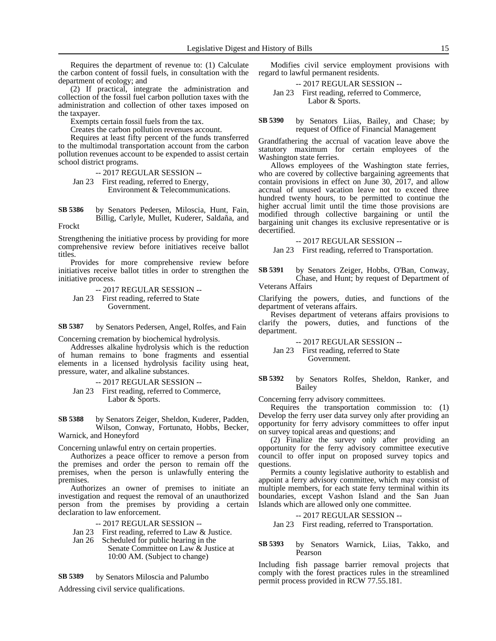Requires the department of revenue to: (1) Calculate the carbon content of fossil fuels, in consultation with the department of ecology; and

(2) If practical, integrate the administration and collection of the fossil fuel carbon pollution taxes with the administration and collection of other taxes imposed on the taxpayer.

Exempts certain fossil fuels from the tax.

Creates the carbon pollution revenues account.

Requires at least fifty percent of the funds transferred to the multimodal transportation account from the carbon pollution revenues account to be expended to assist certain school district programs.

-- 2017 REGULAR SESSION --

Jan 23 First reading, referred to Energy, Environment & Telecommunications.

by Senators Pedersen, Miloscia, Hunt, Fain, Billig, Carlyle, Mullet, Kuderer, Saldaña, and **SB 5386**

Frockt

Strengthening the initiative process by providing for more comprehensive review before initiatives receive ballot titles.

Provides for more comprehensive review before initiatives receive ballot titles in order to strengthen the initiative process.

-- 2017 REGULAR SESSION --

Jan 23 First reading, referred to State Government.

by Senators Pedersen, Angel, Rolfes, and Fain **SB 5387**

Concerning cremation by biochemical hydrolysis.

Addresses alkaline hydrolysis which is the reduction of human remains to bone fragments and essential elements in a licensed hydrolysis facility using heat, pressure, water, and alkaline substances.

-- 2017 REGULAR SESSION --

Jan 23 First reading, referred to Commerce, Labor & Sports.

by Senators Zeiger, Sheldon, Kuderer, Padden, Wilson, Conway, Fortunato, Hobbs, Becker, Warnick, and Honeyford **SB 5388**

Concerning unlawful entry on certain properties.

Authorizes a peace officer to remove a person from the premises and order the person to remain off the premises, when the person is unlawfully entering the premises.

Authorizes an owner of premises to initiate an investigation and request the removal of an unauthorized person from the premises by providing a certain declaration to law enforcement.

-- 2017 REGULAR SESSION --

Jan 23 First reading, referred to Law & Justice.

Jan 26 Scheduled for public hearing in the Senate Committee on Law & Justice at 10:00 AM. (Subject to change)

by Senators Miloscia and Palumbo **SB 5389**

Addressing civil service qualifications.

Modifies civil service employment provisions with regard to lawful permanent residents.

-- 2017 REGULAR SESSION --

Jan 23 First reading, referred to Commerce, Labor & Sports.

by Senators Liias, Bailey, and Chase; by request of Office of Financial Management **SB 5390**

Grandfathering the accrual of vacation leave above the statutory maximum for certain employees of the Washington state ferries.

Allows employees of the Washington state ferries, who are covered by collective bargaining agreements that contain provisions in effect on June 30, 2017, and allow accrual of unused vacation leave not to exceed three hundred twenty hours, to be permitted to continue the higher accrual limit until the time those provisions are modified through collective bargaining or until the bargaining unit changes its exclusive representative or is decertified.

-- 2017 REGULAR SESSION --

Jan 23 First reading, referred to Transportation.

by Senators Zeiger, Hobbs, O'Ban, Conway, Chase, and Hunt; by request of Department of Veterans Affairs **SB 5391**

Clarifying the powers, duties, and functions of the department of veterans affairs.

Revises department of veterans affairs provisions to clarify the powers, duties, and functions of the department.

-- 2017 REGULAR SESSION --

Jan 23 First reading, referred to State Government.

by Senators Rolfes, Sheldon, Ranker, and Bailey **SB 5392**

Concerning ferry advisory committees.

Requires the transportation commission to: (1) Develop the ferry user data survey only after providing an opportunity for ferry advisory committees to offer input on survey topical areas and questions; and

(2) Finalize the survey only after providing an opportunity for the ferry advisory committee executive council to offer input on proposed survey topics and questions.

Permits a county legislative authority to establish and appoint a ferry advisory committee, which may consist of multiple members, for each state ferry terminal within its boundaries, except Vashon Island and the San Juan Islands which are allowed only one committee.

-- 2017 REGULAR SESSION --

Jan 23 First reading, referred to Transportation.

by Senators Warnick, Liias, Takko, and Pearson **SB 5393**

Including fish passage barrier removal projects that comply with the forest practices rules in the streamlined permit process provided in RCW 77.55.181.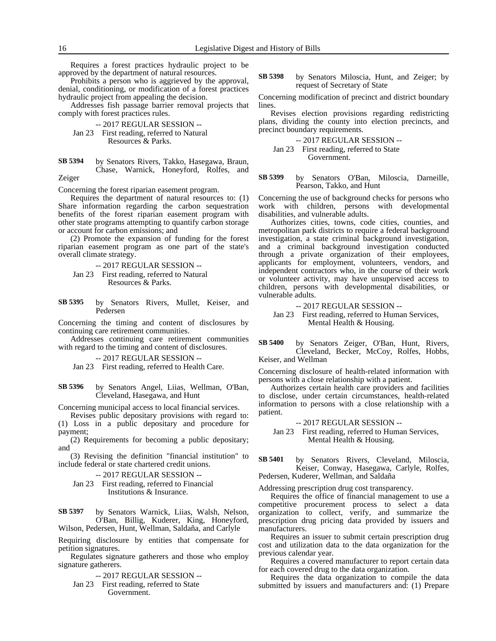Requires a forest practices hydraulic project to be approved by the department of natural resources.

Prohibits a person who is aggrieved by the approval, denial, conditioning, or modification of a forest practices hydraulic project from appealing the decision.

Addresses fish passage barrier removal projects that comply with forest practices rules.

- -- 2017 REGULAR SESSION --
- Jan 23 First reading, referred to Natural Resources & Parks.
- by Senators Rivers, Takko, Hasegawa, Braun, Chase, Warnick, Honeyford, Rolfes, and Zeiger **SB 5394**

Concerning the forest riparian easement program.

Requires the department of natural resources to: (1) Share information regarding the carbon sequestration benefits of the forest riparian easement program with other state programs attempting to quantify carbon storage or account for carbon emissions; and

(2) Promote the expansion of funding for the forest riparian easement program as one part of the state's overall climate strategy.

-- 2017 REGULAR SESSION --

- Jan 23 First reading, referred to Natural Resources & Parks.
- by Senators Rivers, Mullet, Keiser, and Pedersen **SB 5395**

Concerning the timing and content of disclosures by continuing care retirement communities.

Addresses continuing care retirement communities with regard to the timing and content of disclosures.

-- 2017 REGULAR SESSION --

Jan 23 First reading, referred to Health Care.

by Senators Angel, Liias, Wellman, O'Ban, Cleveland, Hasegawa, and Hunt **SB 5396**

Concerning municipal access to local financial services.

Revises public depositary provisions with regard to: (1) Loss in a public depositary and procedure for payment;

(2) Requirements for becoming a public depositary; and

(3) Revising the definition "financial institution" to include federal or state chartered credit unions.

-- 2017 REGULAR SESSION --

Jan 23 First reading, referred to Financial Institutions & Insurance.

by Senators Warnick, Liias, Walsh, Nelson, O'Ban, Billig, Kuderer, King, Honeyford, Wilson, Pedersen, Hunt, Wellman, Saldaña, and Carlyle **SB 5397**

Requiring disclosure by entities that compensate for petition signatures.

Regulates signature gatherers and those who employ signature gatherers.

-- 2017 REGULAR SESSION --

Jan 23 First reading, referred to State Government.

by Senators Miloscia, Hunt, and Zeiger; by request of Secretary of State **SB 5398**

Concerning modification of precinct and district boundary lines.

Revises election provisions regarding redistricting plans, dividing the county into election precincts, and precinct boundary requirements.

### -- 2017 REGULAR SESSION -- Jan 23 First reading, referred to State Government.

by Senators O'Ban, Miloscia, Darneille, Pearson, Takko, and Hunt **SB 5399**

Concerning the use of background checks for persons who work with children, persons with developmental disabilities, and vulnerable adults.

Authorizes cities, towns, code cities, counties, and metropolitan park districts to require a federal background investigation, a state criminal background investigation, and a criminal background investigation conducted through a private organization of their employees, applicants for employment, volunteers, vendors, and independent contractors who, in the course of their work or volunteer activity, may have unsupervised access to children, persons with developmental disabilities, or vulnerable adults.

-- 2017 REGULAR SESSION --

Jan 23 First reading, referred to Human Services, Mental Health & Housing.

by Senators Zeiger, O'Ban, Hunt, Rivers, Cleveland, Becker, McCoy, Rolfes, Hobbs, Keiser, and Wellman **SB 5400**

Concerning disclosure of health-related information with persons with a close relationship with a patient.

Authorizes certain health care providers and facilities to disclose, under certain circumstances, health-related information to persons with a close relationship with a patient.

-- 2017 REGULAR SESSION --

Jan 23 First reading, referred to Human Services, Mental Health & Housing.

by Senators Rivers, Cleveland, Miloscia, Keiser, Conway, Hasegawa, Carlyle, Rolfes, Pedersen, Kuderer, Wellman, and Saldaña **SB 5401**

Addressing prescription drug cost transparency.

Requires the office of financial management to use a competitive procurement process to select a data organization to collect, verify, and summarize the prescription drug pricing data provided by issuers and manufacturers.

Requires an issuer to submit certain prescription drug cost and utilization data to the data organization for the previous calendar year.

Requires a covered manufacturer to report certain data for each covered drug to the data organization.

Requires the data organization to compile the data submitted by issuers and manufacturers and: (1) Prepare